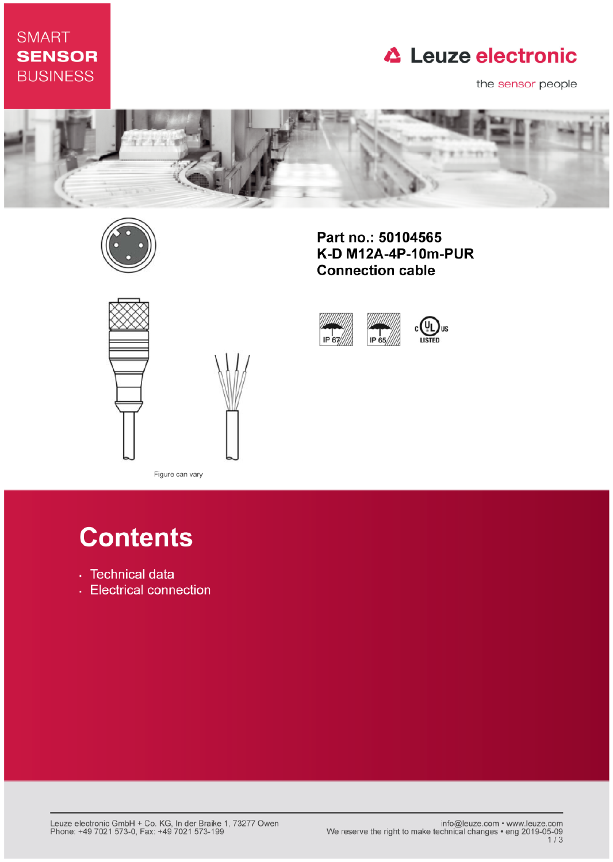### **SMART SENSOR BUSINESS**

## **△ Leuze electronic**

the sensor people



IP 67



Part no.: 50104565 K-D M12A-4P-10m-PUR **Connection cable** 

IP 65





Figure can vary

# **Contents**

- · Technical data
- Electrical connection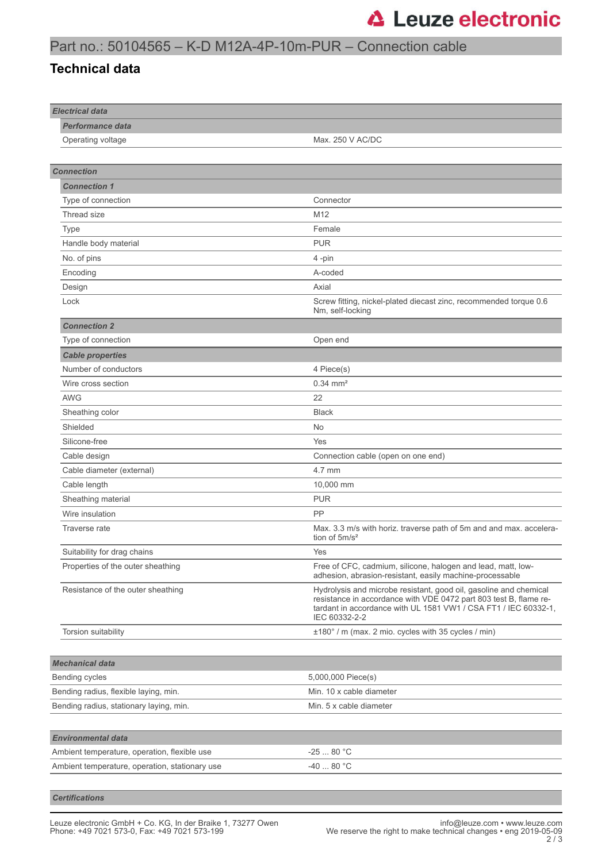#### Part no.: 50104565 – K-D M12A-4P-10m-PUR – Connection cable

#### **Technical data**

| <b>Electrical data</b>                         |                                                                                                                                                                                                                            |
|------------------------------------------------|----------------------------------------------------------------------------------------------------------------------------------------------------------------------------------------------------------------------------|
| <b>Performance data</b><br>Operating voltage   | Max. 250 V AC/DC                                                                                                                                                                                                           |
|                                                |                                                                                                                                                                                                                            |
|                                                |                                                                                                                                                                                                                            |
| <b>Connection</b>                              |                                                                                                                                                                                                                            |
| <b>Connection 1</b>                            |                                                                                                                                                                                                                            |
| Type of connection                             | Connector                                                                                                                                                                                                                  |
| Thread size                                    | M12                                                                                                                                                                                                                        |
| Type                                           | Female                                                                                                                                                                                                                     |
| Handle body material                           | <b>PUR</b>                                                                                                                                                                                                                 |
| No. of pins                                    | 4-pin                                                                                                                                                                                                                      |
| Encoding                                       | A-coded                                                                                                                                                                                                                    |
| Design                                         | Axial                                                                                                                                                                                                                      |
| Lock                                           | Screw fitting, nickel-plated diecast zinc, recommended torque 0.6<br>Nm, self-locking                                                                                                                                      |
| <b>Connection 2</b>                            |                                                                                                                                                                                                                            |
| Type of connection                             | Open end                                                                                                                                                                                                                   |
| <b>Cable properties</b>                        |                                                                                                                                                                                                                            |
| Number of conductors                           | 4 Piece(s)                                                                                                                                                                                                                 |
| Wire cross section                             | $0.34 \, \text{mm}^2$                                                                                                                                                                                                      |
| <b>AWG</b>                                     | 22                                                                                                                                                                                                                         |
| Sheathing color                                | <b>Black</b>                                                                                                                                                                                                               |
| Shielded                                       | No                                                                                                                                                                                                                         |
| Silicone-free                                  | Yes                                                                                                                                                                                                                        |
| Cable design                                   | Connection cable (open on one end)                                                                                                                                                                                         |
| Cable diameter (external)                      | 4.7 mm                                                                                                                                                                                                                     |
| Cable length                                   | 10,000 mm                                                                                                                                                                                                                  |
| Sheathing material                             | <b>PUR</b>                                                                                                                                                                                                                 |
| Wire insulation                                | PP                                                                                                                                                                                                                         |
| Traverse rate                                  | Max. 3.3 m/s with horiz. traverse path of 5m and and max. accelera-<br>tion of $5m/s^2$                                                                                                                                    |
| Suitability for drag chains                    | Yes                                                                                                                                                                                                                        |
| Properties of the outer sheathing              | Free of CFC, cadmium, silicone, halogen and lead, matt, low-<br>adhesion, abrasion-resistant, easily machine-processable                                                                                                   |
| Resistance of the outer sheathing              | Hydrolysis and microbe resistant, good oil, gasoline and chemical<br>resistance in accordance with VDE 0472 part 803 test B, flame re-<br>tardant in accordance with UL 1581 VW1 / CSA FT1 / IEC 60332-1,<br>IEC 60332-2-2 |
| Torsion suitability                            | ±180° / m (max. 2 mio. cycles with 35 cycles / min)                                                                                                                                                                        |
|                                                |                                                                                                                                                                                                                            |
| <b>Mechanical data</b>                         |                                                                                                                                                                                                                            |
| Bending cycles                                 | 5,000,000 Piece(s)                                                                                                                                                                                                         |
| Bending radius, flexible laying, min.          | Min. 10 x cable diameter                                                                                                                                                                                                   |
| Bending radius, stationary laying, min.        | Min. 5 x cable diameter                                                                                                                                                                                                    |
|                                                |                                                                                                                                                                                                                            |
| <b>Environmental data</b>                      |                                                                                                                                                                                                                            |
| Ambient temperature, operation, flexible use   | $-2580 °C$                                                                                                                                                                                                                 |
| Ambient temperature, operation, stationary use | -40  80 °C                                                                                                                                                                                                                 |
|                                                |                                                                                                                                                                                                                            |

*Certifications*